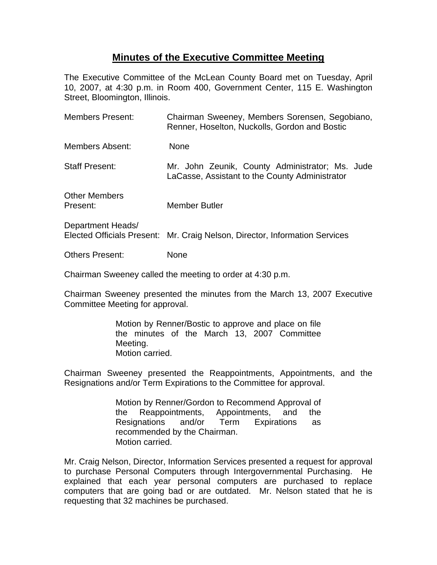## **Minutes of the Executive Committee Meeting**

The Executive Committee of the McLean County Board met on Tuesday, April 10, 2007, at 4:30 p.m. in Room 400, Government Center, 115 E. Washington Street, Bloomington, Illinois.

| <b>Members Present:</b>          | Chairman Sweeney, Members Sorensen, Segobiano,<br>Renner, Hoselton, Nuckolls, Gordon and Bostic   |
|----------------------------------|---------------------------------------------------------------------------------------------------|
| Members Absent:                  | <b>None</b>                                                                                       |
| <b>Staff Present:</b>            | Mr. John Zeunik, County Administrator; Ms. Jude<br>LaCasse, Assistant to the County Administrator |
| <b>Other Members</b><br>Present: | Member Butler                                                                                     |
| Department Heads/                | Elected Officials Present: Mr. Craig Nelson, Director, Information Services                       |
| <b>Others Present:</b>           | None                                                                                              |

Chairman Sweeney called the meeting to order at 4:30 p.m.

Chairman Sweeney presented the minutes from the March 13, 2007 Executive Committee Meeting for approval.

> Motion by Renner/Bostic to approve and place on file the minutes of the March 13, 2007 Committee Meeting. Motion carried.

Chairman Sweeney presented the Reappointments, Appointments, and the Resignations and/or Term Expirations to the Committee for approval.

> Motion by Renner/Gordon to Recommend Approval of the Reappointments, Appointments, and the Resignations and/or Term Expirations as recommended by the Chairman. Motion carried.

Mr. Craig Nelson, Director, Information Services presented a request for approval to purchase Personal Computers through Intergovernmental Purchasing. He explained that each year personal computers are purchased to replace computers that are going bad or are outdated. Mr. Nelson stated that he is requesting that 32 machines be purchased.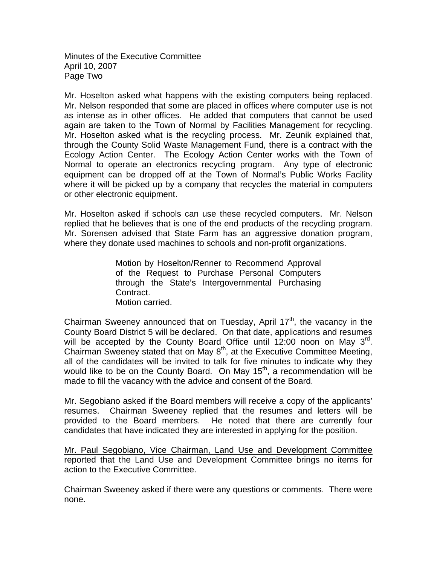Minutes of the Executive Committee April 10, 2007 Page Two

Mr. Hoselton asked what happens with the existing computers being replaced. Mr. Nelson responded that some are placed in offices where computer use is not as intense as in other offices. He added that computers that cannot be used again are taken to the Town of Normal by Facilities Management for recycling. Mr. Hoselton asked what is the recycling process. Mr. Zeunik explained that, through the County Solid Waste Management Fund, there is a contract with the Ecology Action Center. The Ecology Action Center works with the Town of Normal to operate an electronics recycling program. Any type of electronic equipment can be dropped off at the Town of Normal's Public Works Facility where it will be picked up by a company that recycles the material in computers or other electronic equipment.

Mr. Hoselton asked if schools can use these recycled computers. Mr. Nelson replied that he believes that is one of the end products of the recycling program. Mr. Sorensen advised that State Farm has an aggressive donation program, where they donate used machines to schools and non-profit organizations.

> Motion by Hoselton/Renner to Recommend Approval of the Request to Purchase Personal Computers through the State's Intergovernmental Purchasing Contract. Motion carried.

Chairman Sweeney announced that on Tuesday, April  $17<sup>th</sup>$ , the vacancy in the County Board District 5 will be declared. On that date, applications and resumes will be accepted by the County Board Office until 12:00 noon on May  $3^{rd}$ . Chairman Sweeney stated that on May  $8<sup>th</sup>$ , at the Executive Committee Meeting, all of the candidates will be invited to talk for five minutes to indicate why they would like to be on the County Board. On May  $15<sup>th</sup>$ , a recommendation will be made to fill the vacancy with the advice and consent of the Board.

Mr. Segobiano asked if the Board members will receive a copy of the applicants' resumes. Chairman Sweeney replied that the resumes and letters will be provided to the Board members. He noted that there are currently four candidates that have indicated they are interested in applying for the position.

Mr. Paul Segobiano, Vice Chairman, Land Use and Development Committee reported that the Land Use and Development Committee brings no items for action to the Executive Committee.

Chairman Sweeney asked if there were any questions or comments. There were none.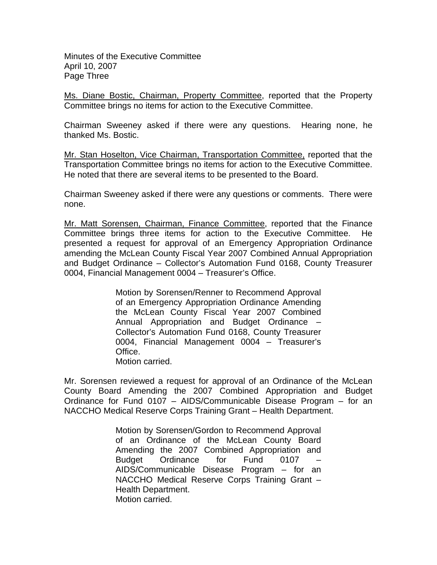Minutes of the Executive Committee April 10, 2007 Page Three

Ms. Diane Bostic, Chairman, Property Committee, reported that the Property Committee brings no items for action to the Executive Committee.

Chairman Sweeney asked if there were any questions. Hearing none, he thanked Ms. Bostic.

Mr. Stan Hoselton, Vice Chairman, Transportation Committee, reported that the Transportation Committee brings no items for action to the Executive Committee. He noted that there are several items to be presented to the Board.

Chairman Sweeney asked if there were any questions or comments. There were none.

Mr. Matt Sorensen, Chairman, Finance Committee, reported that the Finance Committee brings three items for action to the Executive Committee. He presented a request for approval of an Emergency Appropriation Ordinance amending the McLean County Fiscal Year 2007 Combined Annual Appropriation and Budget Ordinance – Collector's Automation Fund 0168, County Treasurer 0004, Financial Management 0004 – Treasurer's Office.

> Motion by Sorensen/Renner to Recommend Approval of an Emergency Appropriation Ordinance Amending the McLean County Fiscal Year 2007 Combined Annual Appropriation and Budget Ordinance – Collector's Automation Fund 0168, County Treasurer 0004, Financial Management 0004 – Treasurer's Office. Motion carried.

Mr. Sorensen reviewed a request for approval of an Ordinance of the McLean County Board Amending the 2007 Combined Appropriation and Budget Ordinance for Fund 0107 – AIDS/Communicable Disease Program – for an NACCHO Medical Reserve Corps Training Grant – Health Department.

> Motion by Sorensen/Gordon to Recommend Approval of an Ordinance of the McLean County Board Amending the 2007 Combined Appropriation and Budget Ordinance for Fund 0107 – AIDS/Communicable Disease Program – for an NACCHO Medical Reserve Corps Training Grant – Health Department. Motion carried.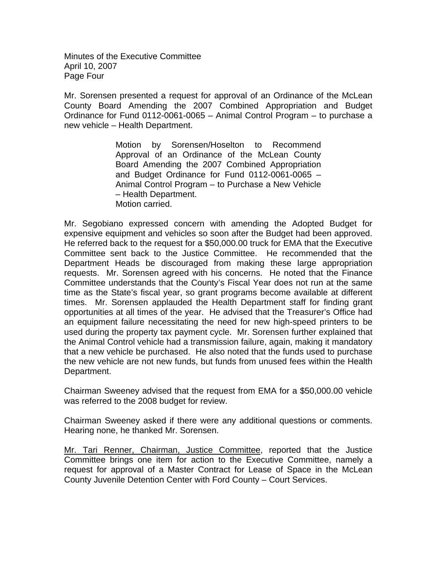Minutes of the Executive Committee April 10, 2007 Page Four

Mr. Sorensen presented a request for approval of an Ordinance of the McLean County Board Amending the 2007 Combined Appropriation and Budget Ordinance for Fund 0112-0061-0065 – Animal Control Program – to purchase a new vehicle – Health Department.

> Motion by Sorensen/Hoselton to Recommend Approval of an Ordinance of the McLean County Board Amending the 2007 Combined Appropriation and Budget Ordinance for Fund 0112-0061-0065 – Animal Control Program – to Purchase a New Vehicle – Health Department. Motion carried.

Mr. Segobiano expressed concern with amending the Adopted Budget for expensive equipment and vehicles so soon after the Budget had been approved. He referred back to the request for a \$50,000.00 truck for EMA that the Executive Committee sent back to the Justice Committee. He recommended that the Department Heads be discouraged from making these large appropriation requests. Mr. Sorensen agreed with his concerns. He noted that the Finance Committee understands that the County's Fiscal Year does not run at the same time as the State's fiscal year, so grant programs become available at different times. Mr. Sorensen applauded the Health Department staff for finding grant opportunities at all times of the year. He advised that the Treasurer's Office had an equipment failure necessitating the need for new high-speed printers to be used during the property tax payment cycle. Mr. Sorensen further explained that the Animal Control vehicle had a transmission failure, again, making it mandatory that a new vehicle be purchased. He also noted that the funds used to purchase the new vehicle are not new funds, but funds from unused fees within the Health Department.

Chairman Sweeney advised that the request from EMA for a \$50,000.00 vehicle was referred to the 2008 budget for review.

Chairman Sweeney asked if there were any additional questions or comments. Hearing none, he thanked Mr. Sorensen.

Mr. Tari Renner, Chairman, Justice Committee, reported that the Justice Committee brings one item for action to the Executive Committee, namely a request for approval of a Master Contract for Lease of Space in the McLean County Juvenile Detention Center with Ford County – Court Services.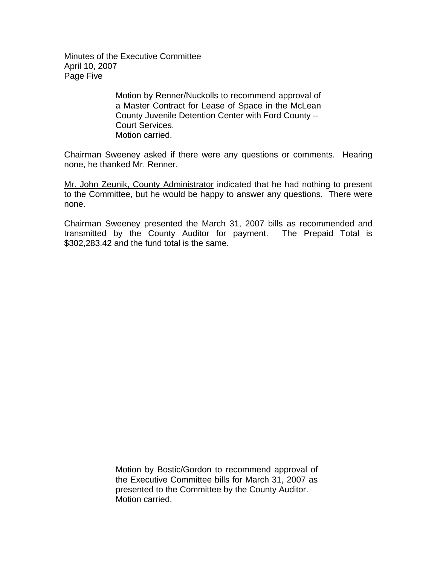Minutes of the Executive Committee April 10, 2007 Page Five

> Motion by Renner/Nuckolls to recommend approval of a Master Contract for Lease of Space in the McLean County Juvenile Detention Center with Ford County – Court Services. Motion carried.

Chairman Sweeney asked if there were any questions or comments. Hearing none, he thanked Mr. Renner.

Mr. John Zeunik, County Administrator indicated that he had nothing to present to the Committee, but he would be happy to answer any questions. There were none.

Chairman Sweeney presented the March 31, 2007 bills as recommended and transmitted by the County Auditor for payment. The Prepaid Total is \$302,283.42 and the fund total is the same.

> Motion by Bostic/Gordon to recommend approval of the Executive Committee bills for March 31, 2007 as presented to the Committee by the County Auditor. Motion carried.